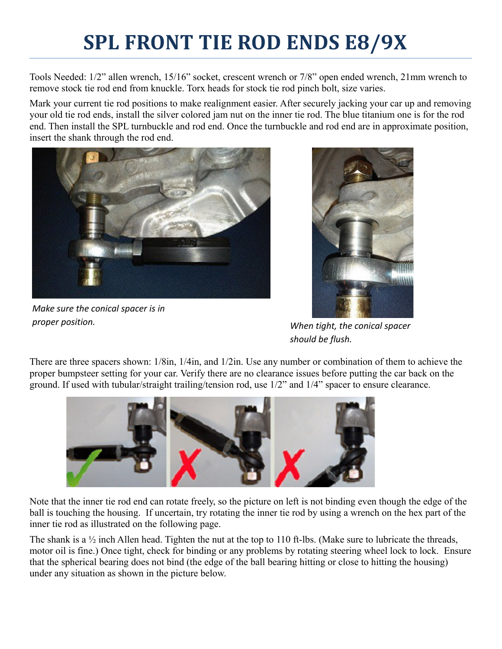## **SPL FRONT TIE ROD ENDS E8/9X**

Tools Needed: 1/2" allen wrench, 15/16" socket, crescent wrench or 7/8" open ended wrench, 21mm wrench to remove stock tie rod end from knuckle. Torx heads for stock tie rod pinch bolt, size varies.

Mark your current tie rod positions to make realignment easier. After securely jacking your car up and removing your old tie rod ends, install the silver colored jam nut on the inner tie rod. The blue titanium one is for the rod end. Then install the SPL turnbuckle and rod end. Once the turnbuckle and rod end are in approximate position, insert the shank through the rod end.



*Make sure the conical spacer is in proper position. When tight, the conical spacer* 



*should be flush.*

There are three spacers shown: 1/8in, 1/4in, and 1/2in. Use any number or combination of them to achieve the proper bumpsteer setting for your car. Verify there are no clearance issues before putting the car back on the ground. If used with tubular/straight trailing/tension rod, use 1/2" and 1/4" spacer to ensure clearance.



Note that the inner tie rod end can rotate freely, so the picture on left is not binding even though the edge of the ball is touching the housing. If uncertain, try rotating the inner tie rod by using a wrench on the hex part of the inner tie rod as illustrated on the following page.

The shank is a ½ inch Allen head. Tighten the nut at the top to 110 ft-lbs. (Make sure to lubricate the threads, motor oil is fine.) Once tight, check for binding or any problems by rotating steering wheel lock to lock. Ensure that the spherical bearing does not bind (the edge of the ball bearing hitting or close to hitting the housing) under any situation as shown in the picture below.